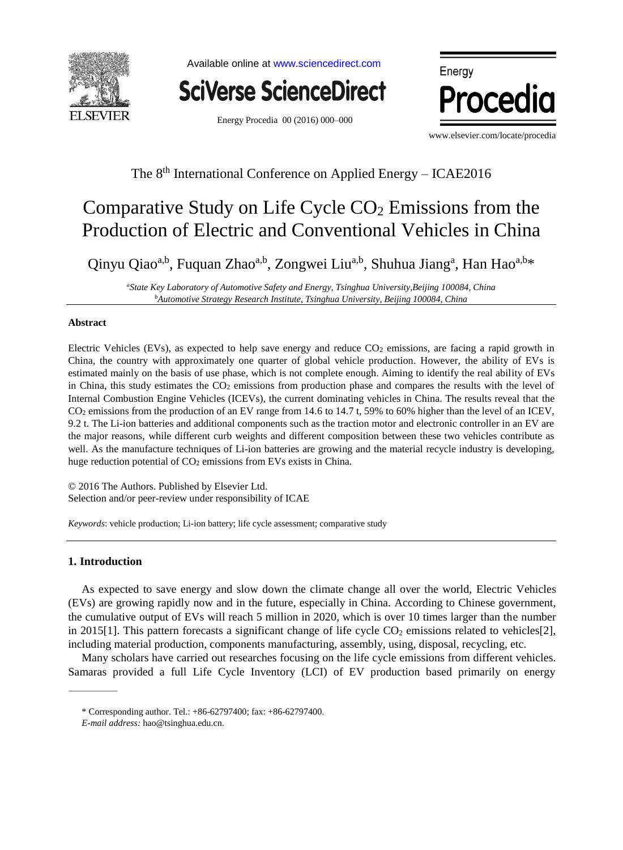

Available online at [www.sciencedirect.com](http://www.sciencedirect.com/science/journal/18766102)



Energy Procedia 00 (2016) 000–000



www.elsevier.com/locate/procedia

# The 8<sup>th</sup> International Conference on Applied Energy - ICAE2016

# Comparative Study on Life Cycle  $CO<sub>2</sub>$  Emissions from the Production of Electric and Conventional Vehicles in China

Qinyu Qiao<sup>a,b</sup>, Fuquan Zhao<sup>a,b</sup>, Zongwei Liu<sup>a,b</sup>, Shuhua Jiang<sup>a</sup>, Han Hao<sup>a,b\*</sup>

*<sup>a</sup>State Key Laboratory of Automotive Safety and Energy, Tsinghua University,Beijing 100084, China <sup>b</sup>Automotive Strategy Research Institute, Tsinghua University, Beijing 100084, China*

### **Abstract**

Electric Vehicles (EVs), as expected to help save energy and reduce CO<sub>2</sub> emissions, are facing a rapid growth in China, the country with approximately one quarter of global vehicle production. However, the ability of EVs is estimated mainly on the basis of use phase, which is not complete enough. Aiming to identify the real ability of EVs in China, this study estimates the CO<sub>2</sub> emissions from production phase and compares the results with the level of Internal Combustion Engine Vehicles (ICEVs), the current dominating vehicles in China. The results reveal that the CO<sup>2</sup> emissions from the production of an EV range from 14.6 to 14.7 t, 59% to 60% higher than the level of an ICEV, 9.2 t. The Li-ion batteries and additional components such as the traction motor and electronic controller in an EV are the major reasons, while different curb weights and different composition between these two vehicles contribute as well. As the manufacture techniques of Li-ion batteries are growing and the material recycle industry is developing, huge reduction potential of CO<sub>2</sub> emissions from EVs exists in China.

© 2016 The Authors. Published by Elsevier Ltd. Selection and/or peer-review under responsibility of ICAE

*Keywords*: vehicle production; Li-ion battery; life cycle assessment; comparative study

# **1. Introduction**

As expected to save energy and slow down the climate change all over the world, Electric Vehicles (EVs) are growing rapidly now and in the future, especially in China. According to Chinese government, the cumulative output of EVs will reach 5 million in 2020, which is over 10 times larger than the number in 2015[1]. This pattern forecasts a significant change of life cycle  $CO<sub>2</sub>$  emissions related to vehicles[2], including material production, components manufacturing, assembly, using, disposal, recycling, etc.

Many scholars have carried out researches focusing on the life cycle emissions from different vehicles. Samaras provided a full Life Cycle Inventory (LCI) of EV production based primarily on energy

<sup>\*</sup> Corresponding author. Tel.: +86-62797400; fax: +86-62797400.

*E-mail address:* hao@tsinghua.edu.cn.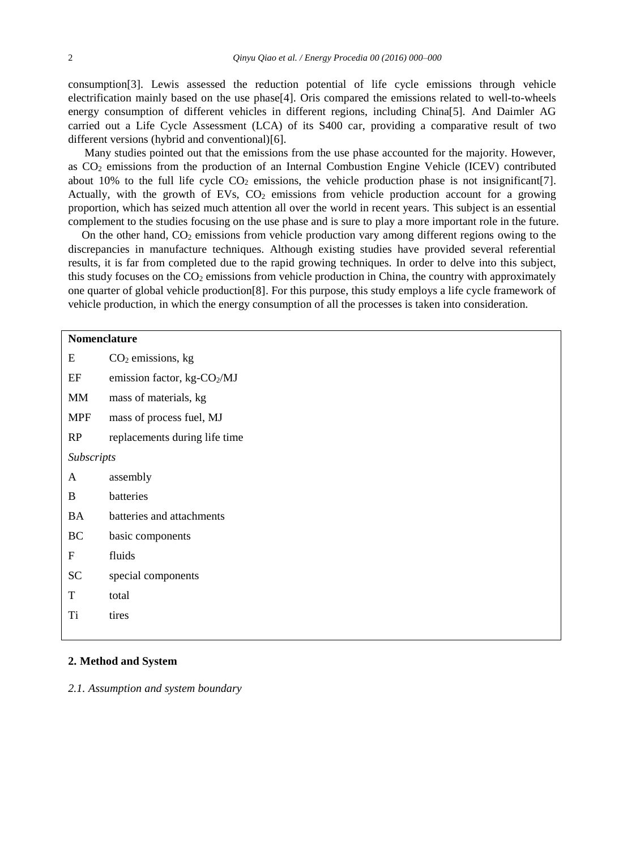consumption[3]. Lewis assessed the reduction potential of life cycle emissions through vehicle electrification mainly based on the use phase[4]. Oris compared the emissions related to well-to-wheels energy consumption of different vehicles in different regions, including China[5]. And Daimler AG carried out a Life Cycle Assessment (LCA) of its S400 car, providing a comparative result of two different versions (hybrid and conventional)[6].

Many studies pointed out that the emissions from the use phase accounted for the majority. However, as CO<sup>2</sup> emissions from the production of an Internal Combustion Engine Vehicle (ICEV) contributed about 10% to the full life cycle  $CO<sub>2</sub>$  emissions, the vehicle production phase is not insignificant [7]. Actually, with the growth of EVs,  $CO<sub>2</sub>$  emissions from vehicle production account for a growing proportion, which has seized much attention all over the world in recent years. This subject is an essential complement to the studies focusing on the use phase and is sure to play a more important role in the future.

On the other hand,  $CO<sub>2</sub>$  emissions from vehicle production vary among different regions owing to the discrepancies in manufacture techniques. Although existing studies have provided several referential results, it is far from completed due to the rapid growing techniques. In order to delve into this subject, this study focuses on the  $CO<sub>2</sub>$  emissions from vehicle production in China, the country with approximately one quarter of global vehicle production[8]. For this purpose, this study employs a life cycle framework of vehicle production, in which the energy consumption of all the processes is taken into consideration.

|             | Nomenclature                            |  |  |  |  |
|-------------|-----------------------------------------|--|--|--|--|
| E           | $CO2$ emissions, kg                     |  |  |  |  |
| $\rm EF$    | emission factor, kg-CO <sub>2</sub> /MJ |  |  |  |  |
| MM          | mass of materials, kg                   |  |  |  |  |
| <b>MPF</b>  | mass of process fuel, MJ                |  |  |  |  |
| RP          | replacements during life time           |  |  |  |  |
| Subscripts  |                                         |  |  |  |  |
| A           | assembly                                |  |  |  |  |
| B           | batteries                               |  |  |  |  |
| <b>BA</b>   | batteries and attachments               |  |  |  |  |
| BC          | basic components                        |  |  |  |  |
| $\mathbf F$ | fluids                                  |  |  |  |  |
| ${\rm SC}$  | special components                      |  |  |  |  |
| T           | total                                   |  |  |  |  |
| Ti          | tires                                   |  |  |  |  |
|             |                                         |  |  |  |  |

# **2. Method and System**

*2.1. Assumption and system boundary*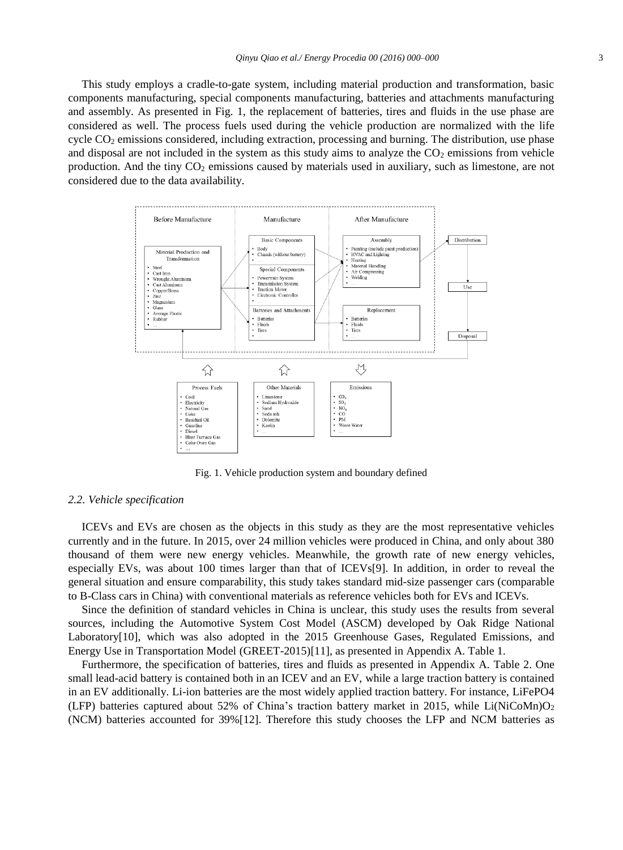This study employs a cradle-to-gate system, including material production and transformation, basic components manufacturing, special components manufacturing, batteries and attachments manufacturing and assembly. As presented in Fig. 1, the replacement of batteries, tires and fluids in the use phase are considered as well. The process fuels used during the vehicle production are normalized with the life cycle CO<sub>2</sub> emissions considered, including extraction, processing and burning. The distribution, use phase and disposal are not included in the system as this study aims to analyze the  $CO<sub>2</sub>$  emissions from vehicle production. And the tiny  $CO<sub>2</sub>$  emissions caused by materials used in auxiliary, such as limestone, are not considered due to the data availability.



Fig. 1. Vehicle production system and boundary defined

#### *2.2. Vehicle specification*

ICEVs and EVs are chosen as the objects in this study as they are the most representative vehicles currently and in the future. In 2015, over 24 million vehicles were produced in China, and only about 380 thousand of them were new energy vehicles. Meanwhile, the growth rate of new energy vehicles, especially EVs, was about 100 times larger than that of ICEVs[9]. In addition, in order to reveal the general situation and ensure comparability, this study takes standard mid-size passenger cars (comparable to B-Class cars in China) with conventional materials as reference vehicles both for EVs and ICEVs.

Since the definition of standard vehicles in China is unclear, this study uses the results from several sources, including the Automotive System Cost Model (ASCM) developed by Oak Ridge National Laboratory[10], which was also adopted in the 2015 Greenhouse Gases, Regulated Emissions, and Energy Use in Transportation Model (GREET-2015)[11], as presented in Appendix A. Table 1.

Furthermore, the specification of batteries, tires and fluids as presented in Appendix A. Table 2. One small lead-acid battery is contained both in an ICEV and an EV, while a large traction battery is contained in an EV additionally. Li-ion batteries are the most widely applied traction battery. For instance, LiFePO4 (LFP) batteries captured about 52% of China's traction battery market in 2015, while Li(NiCoMn)O<sub>2</sub> (NCM) batteries accounted for 39%[12]. Therefore this study chooses the LFP and NCM batteries as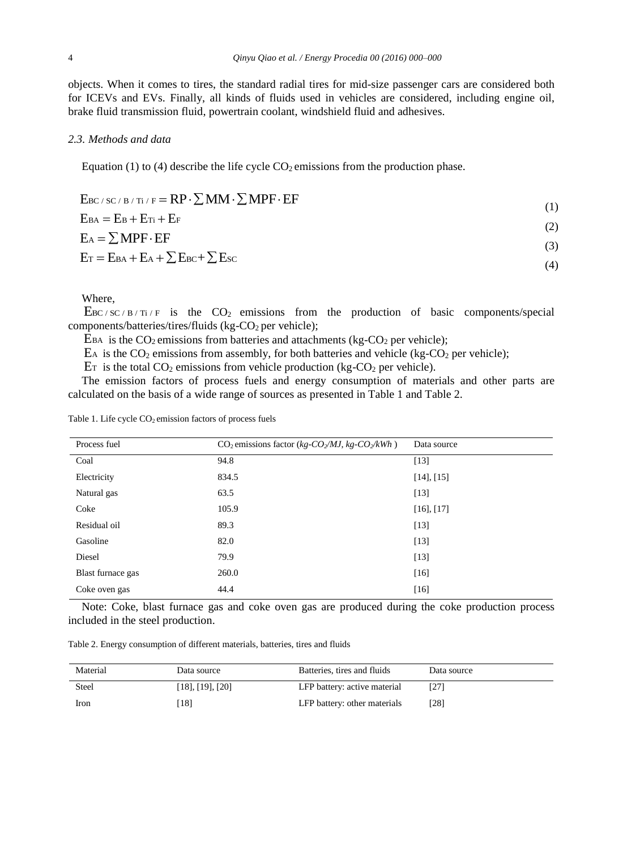objects. When it comes to tires, the standard radial tires for mid-size passenger cars are considered both for ICEVs and EVs. Finally, all kinds of fluids used in vehicles are considered, including engine oil, brake fluid transmission fluid, powertrain coolant, windshield fluid and adhesives.

### *2.3. Methods and data*

Equation (1) to (4) describe the life cycle  $CO<sub>2</sub>$  emissions from the production phase.

| $E_{BC/SC/B/Ti/F} = RP \cdot \sum MM \cdot \sum MPF \cdot EF$ | (1) |
|---------------------------------------------------------------|-----|
| $E_{BA} = E_B + E_{Ti} + E_F$                                 | (2) |
| $E_A = \sum MPF \cdot EF$                                     | (3) |
| $E_T = E_{BA} + E_A + \sum E_{BC} + \sum E_{SC}$              | (4) |

Where,

 $\text{E}_{\text{BC}/\text{SC}}/(\text{B/Ti/F})$  is the CO<sub>2</sub> emissions from the production of basic components/special components/batteries/tires/fluids (kg-CO<sub>2</sub> per vehicle);

 $E_{BA}$  is the CO<sub>2</sub> emissions from batteries and attachments (kg-CO<sub>2</sub> per vehicle);

 $E_A$  is the CO<sub>2</sub> emissions from assembly, for both batteries and vehicle (kg-CO<sub>2</sub> per vehicle);

 $E_T$  is the total CO<sub>2</sub> emissions from vehicle production (kg-CO<sub>2</sub> per vehicle).

The emission factors of process fuels and energy consumption of materials and other parts are calculated on the basis of a wide range of sources as presented in Table 1 and Table 2.

| Process fuel      | $CO2$ emissions factor (kg- $CO2/MJ$ , kg- $CO2/kWh$ ) | Data source     |
|-------------------|--------------------------------------------------------|-----------------|
| Coal              | 94.8                                                   | $[13]$          |
| Electricity       | 834.5                                                  | $[14]$ , $[15]$ |
| Natural gas       | 63.5                                                   | $[13]$          |
| Coke              | 105.9                                                  | $[16]$ , $[17]$ |
| Residual oil      | 89.3                                                   | $[13]$          |
| Gasoline          | 82.0                                                   | $[13]$          |
| Diesel            | 79.9                                                   | $[13]$          |
| Blast furnace gas | 260.0                                                  | $[16]$          |
| Coke oven gas     | 44.4                                                   | $[16]$          |

Note: Coke, blast furnace gas and coke oven gas are produced during the coke production process included in the steel production.

Table 2. Energy consumption of different materials, batteries, tires and fluids

| Material     | Data source              | Batteries, tires and fluids  | Data source |
|--------------|--------------------------|------------------------------|-------------|
| <b>Steel</b> | $[18]$ , $[19]$ , $[20]$ | LFP battery: active material |             |
| Iron         | [18]                     | LFP battery: other materials | [28]        |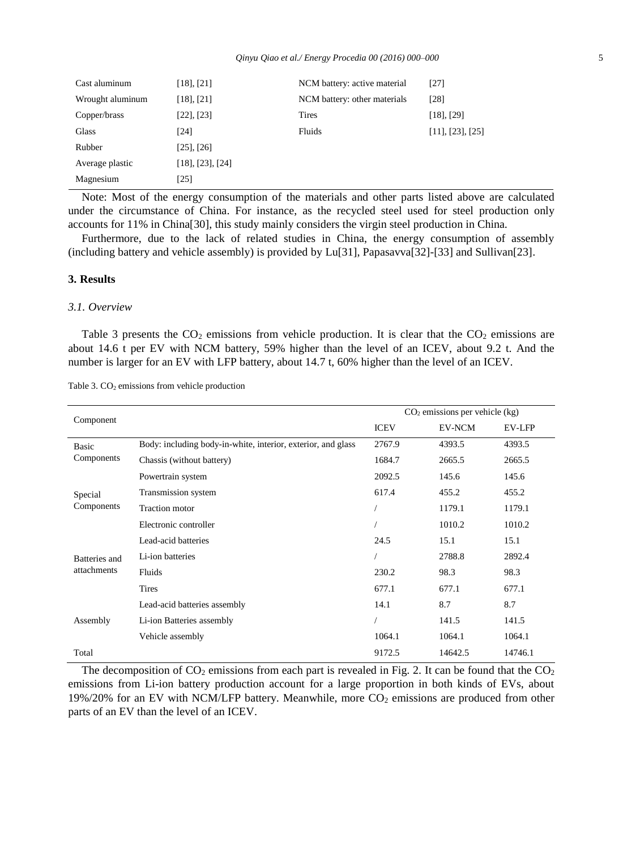| Cast aluminum    | $[18]$ , $[21]$          | NCM battery: active material | [27]                     |
|------------------|--------------------------|------------------------------|--------------------------|
| Wrought aluminum | $[18]$ , $[21]$          | NCM battery: other materials | [28]                     |
| Copper/brass     | $[22]$ , $[23]$          | <b>Tires</b>                 | $[18]$ , $[29]$          |
| <b>Glass</b>     | [24]                     | Fluids                       | $[11]$ , $[23]$ , $[25]$ |
| Rubber           | $[25]$ , $[26]$          |                              |                          |
| Average plastic  | $[18]$ , $[23]$ , $[24]$ |                              |                          |
| Magnesium        | [25]                     |                              |                          |

Note: Most of the energy consumption of the materials and other parts listed above are calculated under the circumstance of China. For instance, as the recycled steel used for steel production only accounts for 11% in China[30], this study mainly considers the virgin steel production in China.

Furthermore, due to the lack of related studies in China, the energy consumption of assembly (including battery and vehicle assembly) is provided by Lu[31], Papasavva[32]-[33] and Sullivan[23].

#### **3. Results**

# *3.1. Overview*

Table 3 presents the  $CO<sub>2</sub>$  emissions from vehicle production. It is clear that the  $CO<sub>2</sub>$  emissions are about 14.6 t per EV with NCM battery, 59% higher than the level of an ICEV, about 9.2 t. And the number is larger for an EV with LFP battery, about 14.7 t, 60% higher than the level of an ICEV.

| Component     |                                                              |             | $CO2$ emissions per vehicle (kg) |               |
|---------------|--------------------------------------------------------------|-------------|----------------------------------|---------------|
|               |                                                              | <b>ICEV</b> | EV-NCM                           | <b>EV-LFP</b> |
| Basic         | Body: including body-in-white, interior, exterior, and glass | 2767.9      | 4393.5                           | 4393.5        |
| Components    | Chassis (without battery)                                    | 1684.7      | 2665.5                           | 2665.5        |
|               | Powertrain system                                            | 2092.5      | 145.6                            | 145.6         |
| Special       | Transmission system                                          | 617.4       | 455.2                            | 455.2         |
| Components    | <b>Traction</b> motor                                        |             | 1179.1                           | 1179.1        |
|               | Electronic controller                                        |             | 1010.2                           | 1010.2        |
|               | Lead-acid batteries                                          | 24.5        | 15.1                             | 15.1          |
| Batteries and | Li-ion batteries                                             |             | 2788.8                           | 2892.4        |
| attachments   | Fluids                                                       | 230.2       | 98.3                             | 98.3          |
|               | Tires                                                        | 677.1       | 677.1                            | 677.1         |
|               | Lead-acid batteries assembly                                 | 14.1        | 8.7                              | 8.7           |
| Assembly      | Li-ion Batteries assembly                                    |             | 141.5                            | 141.5         |
|               | Vehicle assembly                                             | 1064.1      | 1064.1                           | 1064.1        |
| Total         |                                                              | 9172.5      | 14642.5                          | 14746.1       |

Table 3. CO<sub>2</sub> emissions from vehicle production

The decomposition of  $CO_2$  emissions from each part is revealed in Fig. 2. It can be found that the  $CO_2$ emissions from Li-ion battery production account for a large proportion in both kinds of EVs, about  $19\%/20\%$  for an EV with NCM/LFP battery. Meanwhile, more  $CO<sub>2</sub>$  emissions are produced from other parts of an EV than the level of an ICEV.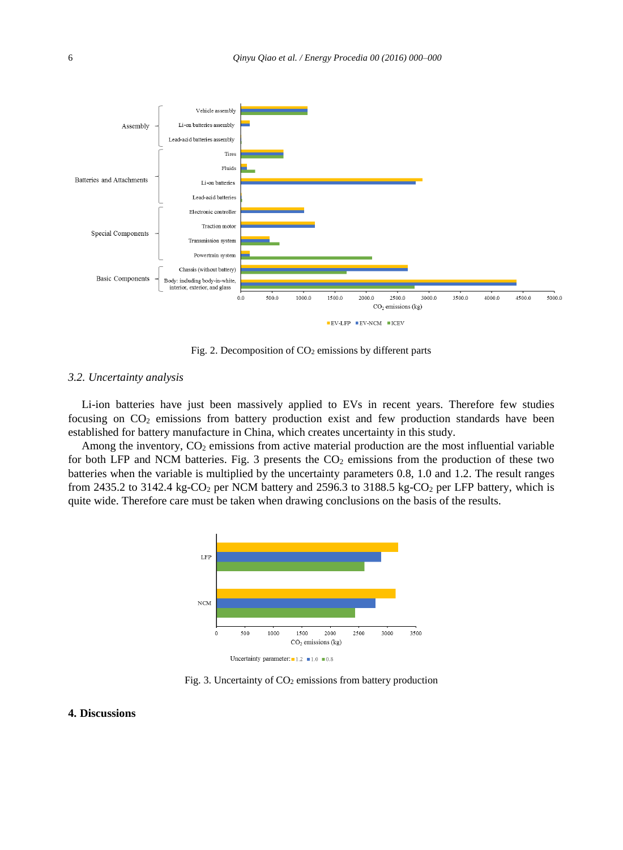

Fig. 2. Decomposition of CO<sub>2</sub> emissions by different parts

# *3.2. Uncertainty analysis*

Li-ion batteries have just been massively applied to EVs in recent years. Therefore few studies focusing on  $CO<sub>2</sub>$  emissions from battery production exist and few production standards have been established for battery manufacture in China, which creates uncertainty in this study.

Among the inventory,  $CO_2$  emissions from active material production are the most influential variable for both LFP and NCM batteries. Fig. 3 presents the  $CO<sub>2</sub>$  emissions from the production of these two batteries when the variable is multiplied by the uncertainty parameters 0.8, 1.0 and 1.2. The result ranges from 2435.2 to 3142.4 kg-CO<sub>2</sub> per NCM battery and 2596.3 to 3188.5 kg-CO<sub>2</sub> per LFP battery, which is quite wide. Therefore care must be taken when drawing conclusions on the basis of the results.



Fig. 3. Uncertainty of  $CO<sub>2</sub>$  emissions from battery production

#### **4. Discussions**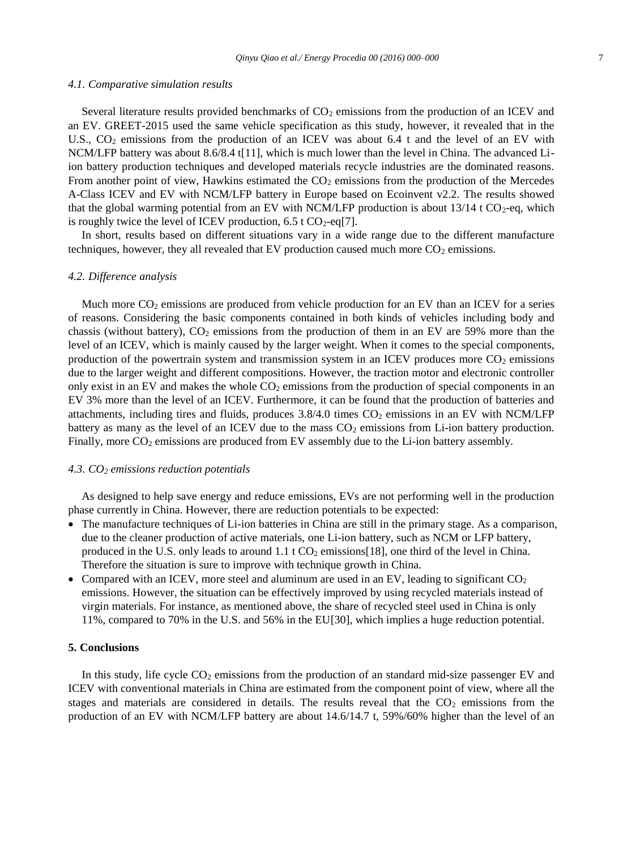#### *4.1. Comparative simulation results*

Several literature results provided benchmarks of  $CO<sub>2</sub>$  emissions from the production of an ICEV and an EV. GREET-2015 used the same vehicle specification as this study, however, it revealed that in the U.S., CO<sub>2</sub> emissions from the production of an ICEV was about 6.4 t and the level of an EV with NCM/LFP battery was about 8.6/8.4 t[11], which is much lower than the level in China. The advanced Liion battery production techniques and developed materials recycle industries are the dominated reasons. From another point of view, Hawkins estimated the  $CO<sub>2</sub>$  emissions from the production of the Mercedes A-Class ICEV and EV with NCM/LFP battery in Europe based on Ecoinvent v2.2. The results showed that the global warming potential from an EV with NCM/LFP production is about  $13/14$  t CO<sub>2</sub>-eq, which is roughly twice the level of ICEV production,  $6.5 \text{ t } CO_2$ -eq[7].

In short, results based on different situations vary in a wide range due to the different manufacture techniques, however, they all revealed that EV production caused much more  $CO<sub>2</sub>$  emissions.

#### *4.2. Difference analysis*

Much more  $CO<sub>2</sub>$  emissions are produced from vehicle production for an EV than an ICEV for a series of reasons. Considering the basic components contained in both kinds of vehicles including body and chassis (without battery),  $CO<sub>2</sub>$  emissions from the production of them in an EV are 59% more than the level of an ICEV, which is mainly caused by the larger weight. When it comes to the special components, production of the powertrain system and transmission system in an ICEV produces more  $CO<sub>2</sub>$  emissions due to the larger weight and different compositions. However, the traction motor and electronic controller only exist in an EV and makes the whole  $CO<sub>2</sub>$  emissions from the production of special components in an EV 3% more than the level of an ICEV. Furthermore, it can be found that the production of batteries and attachments, including tires and fluids, produces  $3.8/4.0$  times  $CO<sub>2</sub>$  emissions in an EV with NCM/LFP battery as many as the level of an ICEV due to the mass  $CO<sub>2</sub>$  emissions from Li-ion battery production. Finally, more CO<sub>2</sub> emissions are produced from EV assembly due to the Li-ion battery assembly.

#### *4.3. CO<sup>2</sup> emissions reduction potentials*

As designed to help save energy and reduce emissions, EVs are not performing well in the production phase currently in China. However, there are reduction potentials to be expected:

- The manufacture techniques of Li-ion batteries in China are still in the primary stage. As a comparison, due to the cleaner production of active materials, one Li-ion battery, such as NCM or LFP battery, produced in the U.S. only leads to around  $1.1 \text{ t CO}_2$  emissions [18], one third of the level in China. Therefore the situation is sure to improve with technique growth in China.
- Compared with an ICEV, more steel and aluminum are used in an EV, leading to significant  $CO<sub>2</sub>$ emissions. However, the situation can be effectively improved by using recycled materials instead of virgin materials. For instance, as mentioned above, the share of recycled steel used in China is only 11%, compared to 70% in the U.S. and 56% in the EU[30], which implies a huge reduction potential.

### **5. Conclusions**

In this study, life cycle  $CO<sub>2</sub>$  emissions from the production of an standard mid-size passenger EV and ICEV with conventional materials in China are estimated from the component point of view, where all the stages and materials are considered in details. The results reveal that the  $CO<sub>2</sub>$  emissions from the production of an EV with NCM/LFP battery are about 14.6/14.7 t, 59%/60% higher than the level of an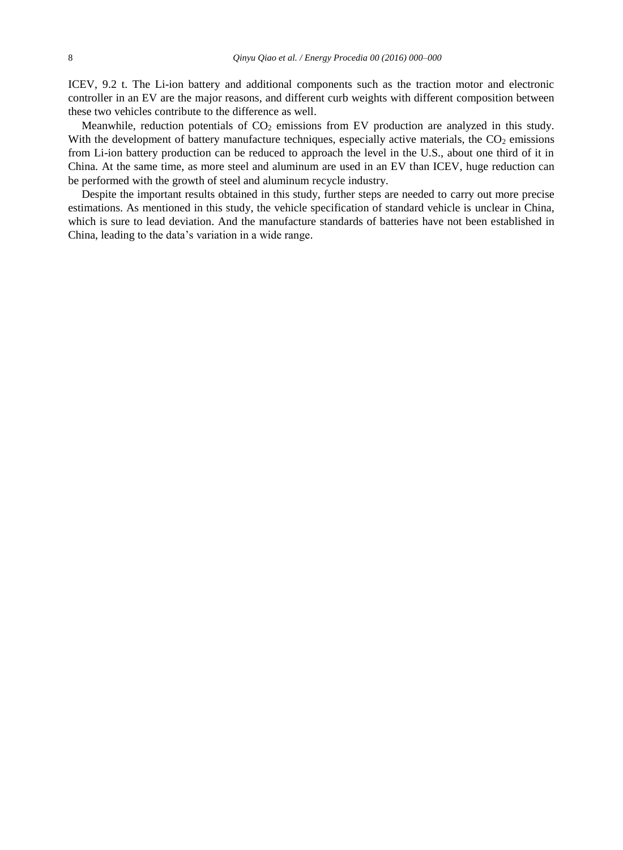ICEV, 9.2 t. The Li-ion battery and additional components such as the traction motor and electronic controller in an EV are the major reasons, and different curb weights with different composition between these two vehicles contribute to the difference as well.

Meanwhile, reduction potentials of  $CO<sub>2</sub>$  emissions from EV production are analyzed in this study. With the development of battery manufacture techniques, especially active materials, the  $CO<sub>2</sub>$  emissions from Li-ion battery production can be reduced to approach the level in the U.S., about one third of it in China. At the same time, as more steel and aluminum are used in an EV than ICEV, huge reduction can be performed with the growth of steel and aluminum recycle industry.

Despite the important results obtained in this study, further steps are needed to carry out more precise estimations. As mentioned in this study, the vehicle specification of standard vehicle is unclear in China, which is sure to lead deviation. And the manufacture standards of batteries have not been established in China, leading to the data's variation in a wide range.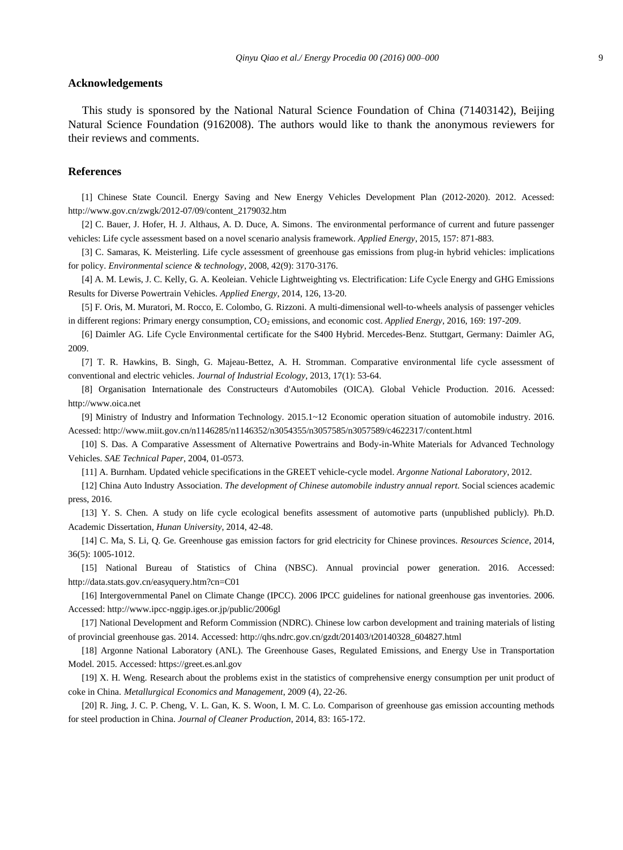#### **Acknowledgements**

This study is sponsored by the National Natural Science Foundation of China (71403142), Beijing Natural Science Foundation (9162008). The authors would like to thank the anonymous reviewers for their reviews and comments.

#### **References**

[1] Chinese State Council. Energy Saving and New Energy Vehicles Development Plan (2012-2020). 2012. Acessed: http://www.gov.cn/zwgk/2012-07/09/content\_2179032.htm

[2] C. Bauer, J. Hofer, H. J. Althaus, A. D. Duce, A. Simons. The environmental performance of current and future passenger vehicles: Life cycle assessment based on a novel scenario analysis framework. *Applied Energy*, 2015, 157: 871-883.

[3] C. Samaras, K. Meisterling. Life cycle assessment of greenhouse gas emissions from plug-in hybrid vehicles: implications for policy. *Environmental science & technology*, 2008, 42(9): 3170-3176.

[4] A. M. Lewis, J. C. Kelly, G. A. Keoleian. Vehicle Lightweighting vs. Electrification: Life Cycle Energy and GHG Emissions Results for Diverse Powertrain Vehicles. *Applied Energy*, 2014, 126, 13-20.

[5] F. Oris, M. Muratori, M. Rocco, E. Colombo, G. Rizzoni. A multi-dimensional well-to-wheels analysis of passenger vehicles in different regions: Primary energy consumption, CO<sub>2</sub> emissions, and economic cost. *Applied Energy*, 2016, 169: 197-209.

[6] Daimler AG. Life Cycle Environmental certificate for the S400 Hybrid. Mercedes-Benz. Stuttgart, Germany: Daimler AG, 2009.

[7] T. R. Hawkins, B. Singh, G. Majeau-Bettez, A. H. Stromman. Comparative environmental life cycle assessment of conventional and electric vehicles. *Journal of Industrial Ecology*, 2013, 17(1): 53-64.

[8] Organisation Internationale des Constructeurs d'Automobiles (OICA). Global Vehicle Production. 2016. Acessed: http://www.oica.net

[9] Ministry of Industry and Information Technology. 2015.1~12 Economic operation situation of automobile industry. 2016. Acessed: http://www.miit.gov.cn/n1146285/n1146352/n3054355/n3057585/n3057589/c4622317/content.html

[10] S. Das. A Comparative Assessment of Alternative Powertrains and Body-in-White Materials for Advanced Technology Vehicles. *SAE Technical Paper*, 2004, 01-0573.

[11] A. Burnham. Updated vehicle specifications in the GREET vehicle-cycle model. *Argonne National Laboratory*, 2012.

[12] China Auto Industry Association. *The development of Chinese automobile industry annual report*. Social sciences academic press, 2016.

[13] Y. S. Chen. A study on life cycle ecological benefits assessment of automotive parts (unpublished publicly). Ph.D. Academic Dissertation, *Hunan University*, 2014, 42-48.

[14] C. Ma, S. Li, Q. Ge. Greenhouse gas emission factors for grid electricity for Chinese provinces. *Resources Science*, 2014, 36(5): 1005-1012.

[15] National Bureau of Statistics of China (NBSC). Annual provincial power generation. 2016. Accessed: http://data.stats.gov.cn/easyquery.htm?cn=C01

[16] Intergovernmental Panel on Climate Change (IPCC). 2006 IPCC guidelines for national greenhouse gas inventories. 2006. Accessed: http://www.ipcc-nggip.iges.or.jp/public/2006gl

[17] National Development and Reform Commission (NDRC). Chinese low carbon development and training materials of listing of provincial greenhouse gas. 2014. Accessed: http://qhs.ndrc.gov.cn/gzdt/201403/t20140328\_604827.html

[18] Argonne National Laboratory (ANL). The Greenhouse Gases, Regulated Emissions, and Energy Use in Transportation Model. 2015. Accessed: https://greet.es.anl.gov

[19] X. H. Weng. Research about the problems exist in the statistics of comprehensive energy consumption per unit product of coke in China. *Metallurgical Economics and Management*, 2009 (4), 22-26.

[20] R. Jing, J. C. P. Cheng, V. L. Gan, K. S. Woon, I. M. C. Lo. Comparison of greenhouse gas emission accounting methods for steel production in China. *Journal of Cleaner Production*, 2014, 83: 165-172.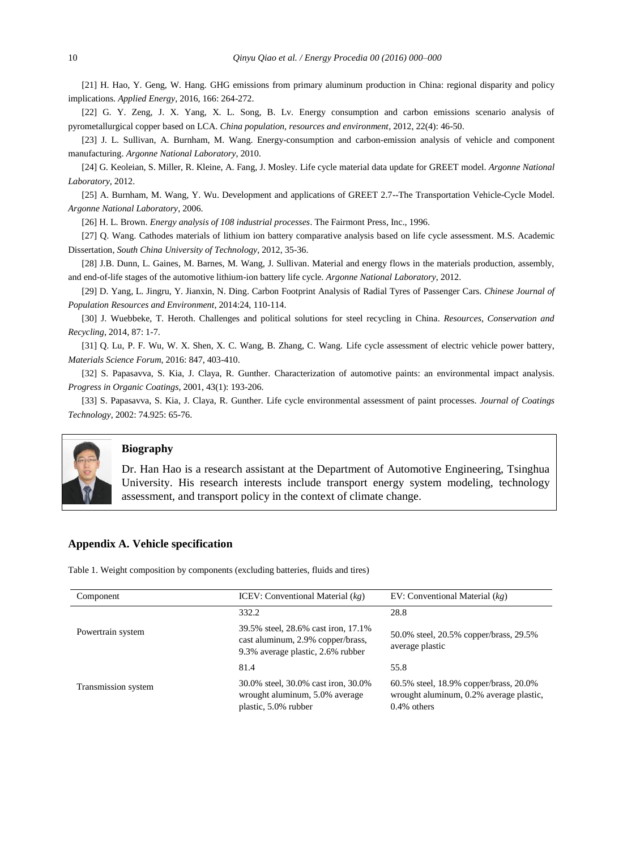[21] H. Hao, Y. Geng, W. Hang. GHG emissions from primary aluminum production in China: regional disparity and policy implications. *Applied Energy*, 2016, 166: 264-272.

[22] G. Y. Zeng, J. X. Yang, X. L. Song, B. Lv. Energy consumption and carbon emissions scenario analysis of pyrometallurgical copper based on LCA. *China population, resources and environment*, 2012, 22(4): 46-50.

[23] J. L. Sullivan, A. Burnham, M. Wang. Energy-consumption and carbon-emission analysis of vehicle and component manufacturing. *Argonne National Laboratory*, 2010.

[24] G. Keoleian, S. Miller, R. Kleine, A. Fang, J. Mosley. Life cycle material data update for GREET model. *Argonne National Laboratory*, 2012.

[25] A. Burnham, M. Wang, Y. Wu. Development and applications of GREET 2.7--The Transportation Vehicle-Cycle Model. *Argonne National Laboratory*, 2006.

[26] H. L. Brown. *Energy analysis of 108 industrial processes*. The Fairmont Press, Inc., 1996.

[27] Q. Wang. Cathodes materials of lithium ion battery comparative analysis based on life cycle assessment. M.S. Academic Dissertation, *South China University of Technology*, 2012, 35-36.

[28] J.B. Dunn, L. Gaines, M. Barnes, M. Wang, J. Sullivan. Material and energy flows in the materials production, assembly, and end-of-life stages of the automotive lithium-ion battery life cycle. *Argonne National Laboratory*, 2012.

[29] D. Yang, L. Jingru, Y. Jianxin, N. Ding. Carbon Footprint Analysis of Radial Tyres of Passenger Cars. *Chinese Journal of Population Resources and Environment*, 2014:24, 110-114.

[30] J. Wuebbeke, T. Heroth. Challenges and political solutions for steel recycling in China. *Resources, Conservation and Recycling*, 2014, 87: 1-7.

[31] Q. Lu, P. F. Wu, W. X. Shen, X. C. Wang, B. Zhang, C. Wang. Life cycle assessment of electric vehicle power battery, *Materials Science Forum*, 2016: 847, 403-410.

[32] S. Papasavva, S. Kia, J. Claya, R. Gunther. Characterization of automotive paints: an environmental impact analysis. *Progress in Organic Coatings*, 2001, 43(1): 193-206.

[33] S. Papasavva, S. Kia, J. Claya, R. Gunther. Life cycle environmental assessment of paint processes. *Journal of Coatings Technology*, 2002: 74.925: 65-76.



#### **Biography**

Dr. Han Hao is a research assistant at the Department of Automotive Engineering, Tsinghua University. His research interests include transport energy system modeling, technology assessment, and transport policy in the context of climate change.

#### **Appendix A. Vehicle specification**

Table 1. Weight composition by components (excluding batteries, fluids and tires)

| Component           | ICEV: Conventional Material $(kg)$                                                                            | EV: Conventional Material $(kg)$                                                                    |  |  |
|---------------------|---------------------------------------------------------------------------------------------------------------|-----------------------------------------------------------------------------------------------------|--|--|
|                     | 332.2                                                                                                         | 28.8                                                                                                |  |  |
| Powertrain system   | 39.5% steel, 28.6% cast iron, 17.1%<br>cast aluminum, 2.9% copper/brass,<br>9.3% average plastic, 2.6% rubber | 50.0% steel, 20.5% copper/brass, 29.5%<br>average plastic                                           |  |  |
|                     | 81.4                                                                                                          | 55.8                                                                                                |  |  |
| Transmission system | 30.0% steel, 30.0% cast iron, 30.0%<br>wrought aluminum, 5.0% average<br>plastic, 5.0% rubber                 | 60.5% steel, 18.9% copper/brass, 20.0%<br>wrought aluminum, 0.2% average plastic,<br>$0.4\%$ others |  |  |